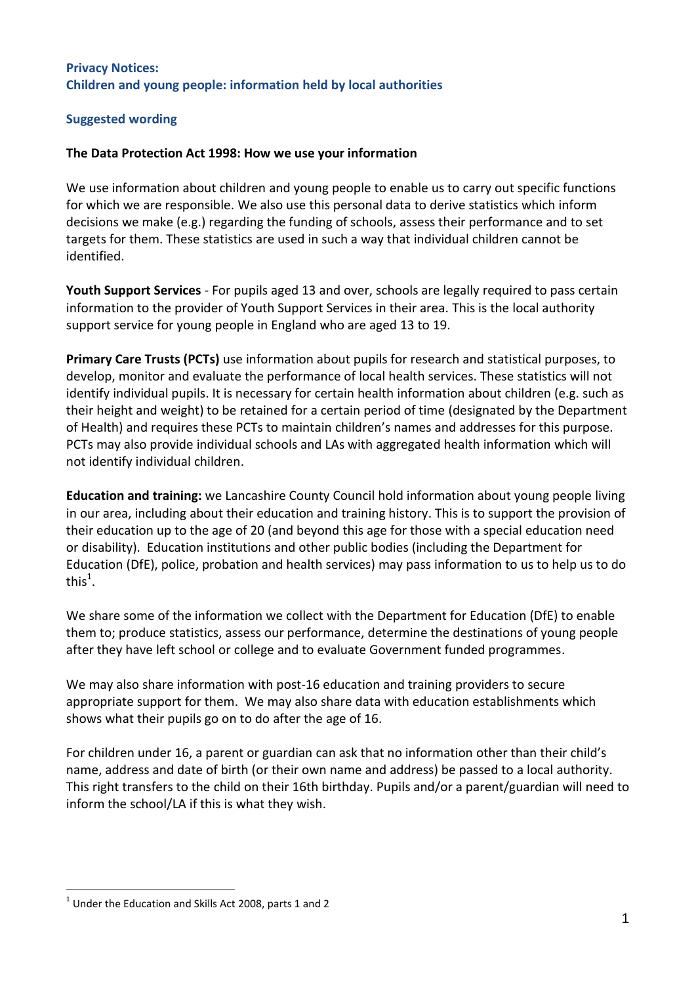## **Privacy Notices: Children and young people: information held by local authorities**

## **Suggested wording**

## **The Data Protection Act 1998: How we use your information**

We use information about children and young people to enable us to carry out specific functions for which we are responsible. We also use this personal data to derive statistics which inform decisions we make (e.g.) regarding the funding of schools, assess their performance and to set targets for them. These statistics are used in such a way that individual children cannot be identified.

**Youth Support Services** - For pupils aged 13 and over, schools are legally required to pass certain information to the provider of Youth Support Services in their area. This is the local authority support service for young people in England who are aged 13 to 19.

**Primary Care Trusts (PCTs)** use information about pupils for research and statistical purposes, to develop, monitor and evaluate the performance of local health services. These statistics will not identify individual pupils. It is necessary for certain health information about children (e.g. such as their height and weight) to be retained for a certain period of time (designated by the Department of Health) and requires these PCTs to maintain children's names and addresses for this purpose. PCTs may also provide individual schools and LAs with aggregated health information which will not identify individual children.

**Education and training:** we Lancashire County Council hold information about young people living in our area, including about their education and training history. This is to support the provision of their education up to the age of 20 (and beyond this age for those with a special education need or disability). Education institutions and other public bodies (including the Department for Education (DfE), police, probation and health services) may pass information to us to help us to do this<sup>1</sup>.

We share some of the information we collect with the Department for Education (DfE) to enable them to; produce statistics, assess our performance, determine the destinations of young people after they have left school or college and to evaluate Government funded programmes.

We may also share information with post-16 education and training providers to secure appropriate support for them. We may also share data with education establishments which shows what their pupils go on to do after the age of 16.

For children under 16, a parent or guardian can ask that no information other than their child's name, address and date of birth (or their own name and address) be passed to a local authority. This right transfers to the child on their 16th birthday. Pupils and/or a parent/guardian will need to inform the school/LA if this is what they wish.

**<sup>.</sup>**  $<sup>1</sup>$  Under the Education and Skills Act 2008, parts 1 and 2</sup>